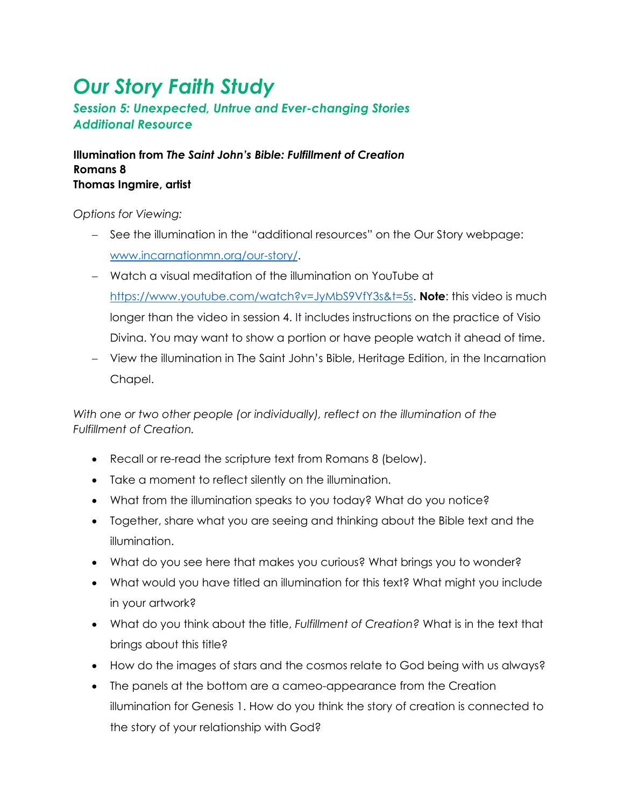## *Our Story Faith Study*

## *Session 5: Unexpected, Untrue and Ever-changing Stories Additional Resource*

**Illumination from** *The Saint John's Bible: Fulfillment of Creation* **Romans 8 Thomas Ingmire, artist**

*Options for Viewing:* 

- − See the illumination in the "additional resources" on the Our Story webpage: [www.incarnationmn.org/our-story/.](http://www.incarnationmn.org/our-story/)
- − Watch a visual meditation of the illumination on YouTube at [https://www.youtube.com/watch?v=JyMbS9VfY3s&t=5s.](https://www.youtube.com/watch?v=JyMbS9VfY3s&t=5s) **Note**: this video is much longer than the video in session 4. It includes instructions on the practice of Visio Divina. You may want to show a portion or have people watch it ahead of time.
- − View the illumination in The Saint John's Bible, Heritage Edition, in the Incarnation Chapel.

*With one or two other people (or individually), reflect on the illumination of the Fulfillment of Creation.*

- Recall or re-read the scripture text from Romans 8 (below).
- Take a moment to reflect silently on the illumination.
- What from the illumination speaks to you today? What do you notice?
- Together, share what you are seeing and thinking about the Bible text and the illumination.
- What do you see here that makes you curious? What brings you to wonder?
- What would you have titled an illumination for this text? What might you include in your artwork?
- What do you think about the title, *Fulfillment of Creation?* What is in the text that brings about this title?
- How do the images of stars and the cosmos relate to God being with us always?
- The panels at the bottom are a cameo-appearance from the Creation illumination for Genesis 1. How do you think the story of creation is connected to the story of your relationship with God?